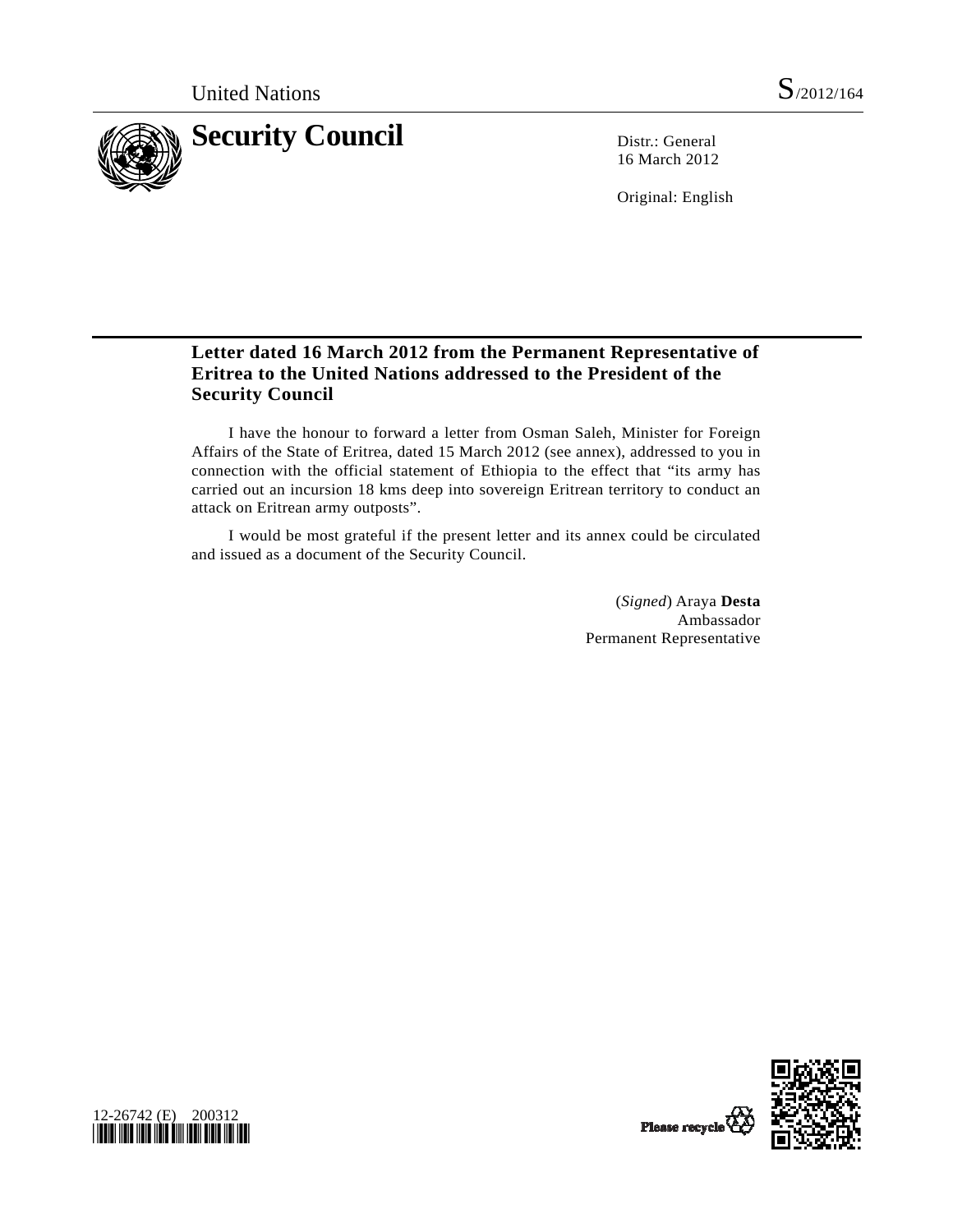

16 March 2012

Original: English

## **Letter dated 16 March 2012 from the Permanent Representative of Eritrea to the United Nations addressed to the President of the Security Council**

 I have the honour to forward a letter from Osman Saleh, Minister for Foreign Affairs of the State of Eritrea, dated 15 March 2012 (see annex), addressed to you in connection with the official statement of Ethiopia to the effect that "its army has carried out an incursion 18 kms deep into sovereign Eritrean territory to conduct an attack on Eritrean army outposts".

 I would be most grateful if the present letter and its annex could be circulated and issued as a document of the Security Council.

> (*Signed*) Araya **Desta** Ambassador Permanent Representative

> > Please recycle